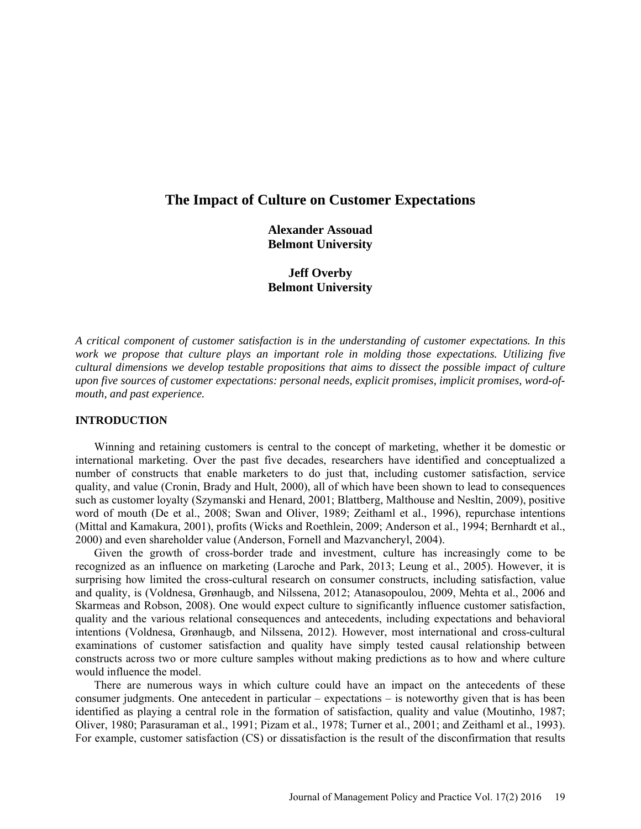# **The Impact of Culture on Customer Expectations**

**Alexander Assouad Belmont University**

**Jeff Overby Belmont University**

*A critical component of customer satisfaction is in the understanding of customer expectations. In this work we propose that culture plays an important role in molding those expectations. Utilizing five cultural dimensions we develop testable propositions that aims to dissect the possible impact of culture upon five sources of customer expectations: personal needs, explicit promises, implicit promises, word-ofmouth, and past experience.*

# **INTRODUCTION**

Winning and retaining customers is central to the concept of marketing, whether it be domestic or international marketing. Over the past five decades, researchers have identified and conceptualized a number of constructs that enable marketers to do just that, including customer satisfaction, service quality, and value (Cronin, Brady and Hult, 2000), all of which have been shown to lead to consequences such as customer loyalty (Szymanski and Henard, 2001; Blattberg, Malthouse and Nesltin, 2009), positive word of mouth (De et al., 2008; Swan and Oliver, 1989; Zeithaml et al., 1996), repurchase intentions (Mittal and Kamakura, 2001), profits (Wicks and Roethlein, 2009; Anderson et al., 1994; Bernhardt et al., 2000) and even shareholder value (Anderson, Fornell and Mazvancheryl, 2004).

Given the growth of cross-border trade and investment, culture has increasingly come to be recognized as an influence on marketing (Laroche and Park, 2013; Leung et al., 2005). However, it is surprising how limited the cross-cultural research on consumer constructs, including satisfaction, value and quality, is (Voldnesa, Grønhaugb, and Nilssena, 2012; Atanasopoulou, 2009, Mehta et al., 2006 and Skarmeas and Robson, 2008). One would expect culture to significantly influence customer satisfaction, quality and the various relational consequences and antecedents, including expectations and behavioral intentions (Voldnesa, Grønhaugb, and Nilssena, 2012). However, most international and cross-cultural examinations of customer satisfaction and quality have simply tested causal relationship between constructs across two or more culture samples without making predictions as to how and where culture would influence the model.

There are numerous ways in which culture could have an impact on the antecedents of these consumer judgments. One antecedent in particular – expectations – is noteworthy given that is has been identified as playing a central role in the formation of satisfaction, quality and value (Moutinho, 1987; Oliver, 1980; Parasuraman et al., 1991; Pizam et al., 1978; Turner et al., 2001; and Zeithaml et al., 1993). For example, customer satisfaction (CS) or dissatisfaction is the result of the disconfirmation that results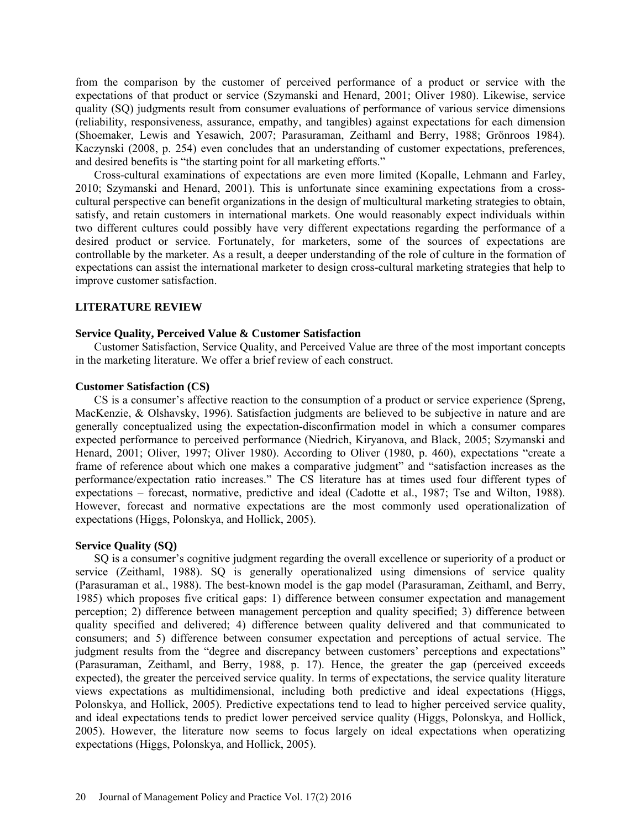from the comparison by the customer of perceived performance of a product or service with the expectations of that product or service (Szymanski and Henard, 2001; Oliver 1980). Likewise, service quality (SQ) judgments result from consumer evaluations of performance of various service dimensions (reliability, responsiveness, assurance, empathy, and tangibles) against expectations for each dimension (Shoemaker, Lewis and Yesawich, 2007; Parasuraman, Zeithaml and Berry, 1988; Grönroos 1984). Kaczynski (2008, p. 254) even concludes that an understanding of customer expectations, preferences, and desired benefits is "the starting point for all marketing efforts."

Cross-cultural examinations of expectations are even more limited (Kopalle, Lehmann and Farley, 2010; Szymanski and Henard, 2001). This is unfortunate since examining expectations from a crosscultural perspective can benefit organizations in the design of multicultural marketing strategies to obtain, satisfy, and retain customers in international markets. One would reasonably expect individuals within two different cultures could possibly have very different expectations regarding the performance of a desired product or service. Fortunately, for marketers, some of the sources of expectations are controllable by the marketer. As a result, a deeper understanding of the role of culture in the formation of expectations can assist the international marketer to design cross-cultural marketing strategies that help to improve customer satisfaction.

#### **LITERATURE REVIEW**

#### **Service Quality, Perceived Value & Customer Satisfaction**

Customer Satisfaction, Service Quality, and Perceived Value are three of the most important concepts in the marketing literature. We offer a brief review of each construct.

# **Customer Satisfaction (CS)**

CS is a consumer's affective reaction to the consumption of a product or service experience (Spreng, MacKenzie, & Olshavsky, 1996). Satisfaction judgments are believed to be subjective in nature and are generally conceptualized using the expectation-disconfirmation model in which a consumer compares expected performance to perceived performance (Niedrich, Kiryanova, and Black, 2005; Szymanski and Henard, 2001; Oliver, 1997; Oliver 1980). According to Oliver (1980, p. 460), expectations "create a frame of reference about which one makes a comparative judgment" and "satisfaction increases as the performance/expectation ratio increases." The CS literature has at times used four different types of expectations – forecast, normative, predictive and ideal (Cadotte et al., 1987; Tse and Wilton, 1988). However, forecast and normative expectations are the most commonly used operationalization of expectations (Higgs, Polonskya, and Hollick, 2005).

#### **Service Quality (SQ)**

SQ is a consumer's cognitive judgment regarding the overall excellence or superiority of a product or service (Zeithaml, 1988). SQ is generally operationalized using dimensions of service quality (Parasuraman et al., 1988). The best-known model is the gap model (Parasuraman, Zeithaml, and Berry, 1985) which proposes five critical gaps: 1) difference between consumer expectation and management perception; 2) difference between management perception and quality specified; 3) difference between quality specified and delivered; 4) difference between quality delivered and that communicated to consumers; and 5) difference between consumer expectation and perceptions of actual service. The judgment results from the "degree and discrepancy between customers' perceptions and expectations" (Parasuraman, Zeithaml, and Berry, 1988, p. 17). Hence, the greater the gap (perceived exceeds expected), the greater the perceived service quality. In terms of expectations, the service quality literature views expectations as multidimensional, including both predictive and ideal expectations (Higgs, Polonskya, and Hollick, 2005). Predictive expectations tend to lead to higher perceived service quality, and ideal expectations tends to predict lower perceived service quality (Higgs, Polonskya, and Hollick, 2005). However, the literature now seems to focus largely on ideal expectations when operatizing expectations (Higgs, Polonskya, and Hollick, 2005).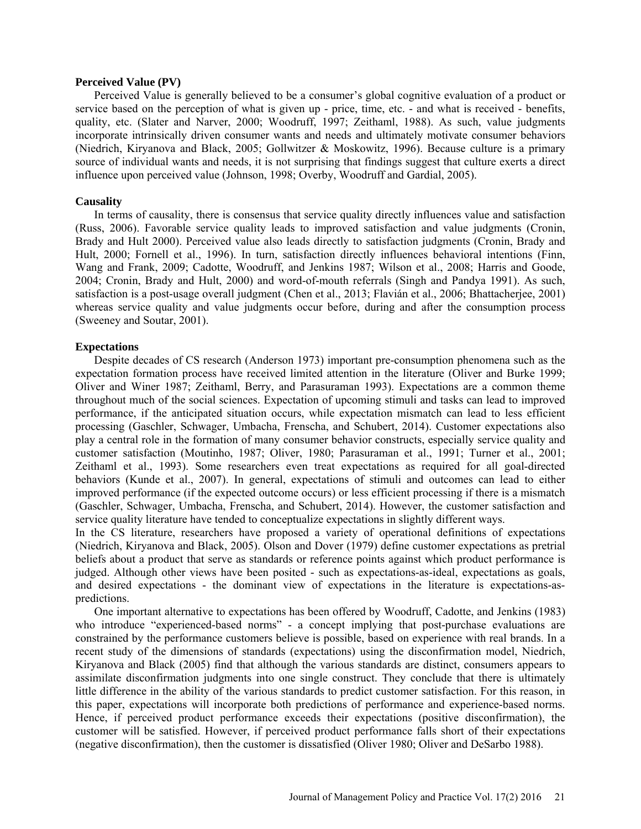#### **Perceived Value (PV)**

Perceived Value is generally believed to be a consumer's global cognitive evaluation of a product or service based on the perception of what is given up - price, time, etc. - and what is received - benefits, quality, etc. (Slater and Narver, 2000; Woodruff, 1997; Zeithaml, 1988). As such, value judgments incorporate intrinsically driven consumer wants and needs and ultimately motivate consumer behaviors (Niedrich, Kiryanova and Black, 2005; Gollwitzer & Moskowitz, 1996). Because culture is a primary source of individual wants and needs, it is not surprising that findings suggest that culture exerts a direct influence upon perceived value (Johnson, 1998; Overby, Woodruff and Gardial, 2005).

#### **Causality**

In terms of causality, there is consensus that service quality directly influences value and satisfaction (Russ, 2006). Favorable service quality leads to improved satisfaction and value judgments (Cronin, Brady and Hult 2000). Perceived value also leads directly to satisfaction judgments (Cronin, Brady and Hult, 2000; Fornell et al., 1996). In turn, satisfaction directly influences behavioral intentions (Finn, Wang and Frank, 2009; Cadotte, Woodruff, and Jenkins 1987; Wilson et al., 2008; Harris and Goode, 2004; Cronin, Brady and Hult, 2000) and word-of-mouth referrals (Singh and Pandya 1991). As such, satisfaction is a post-usage overall judgment (Chen et al., 2013; Flavián et al., 2006; Bhattacherjee, 2001) whereas service quality and value judgments occur before, during and after the consumption process (Sweeney and Soutar, 2001).

#### **Expectations**

Despite decades of CS research (Anderson 1973) important pre-consumption phenomena such as the expectation formation process have received limited attention in the literature (Oliver and Burke 1999; Oliver and Winer 1987; Zeithaml, Berry, and Parasuraman 1993). Expectations are a common theme throughout much of the social sciences. Expectation of upcoming stimuli and tasks can lead to improved performance, if the anticipated situation occurs, while expectation mismatch can lead to less efficient processing (Gaschler, Schwager, Umbacha, Frenscha, and Schubert, 2014). Customer expectations also play a central role in the formation of many consumer behavior constructs, especially service quality and customer satisfaction (Moutinho, 1987; Oliver, 1980; Parasuraman et al., 1991; Turner et al., 2001; Zeithaml et al., 1993). Some researchers even treat expectations as required for all goal-directed behaviors (Kunde et al., 2007). In general, expectations of stimuli and outcomes can lead to either improved performance (if the expected outcome occurs) or less efficient processing if there is a mismatch (Gaschler, Schwager, Umbacha, Frenscha, and Schubert, 2014). However, the customer satisfaction and service quality literature have tended to conceptualize expectations in slightly different ways.

In the CS literature, researchers have proposed a variety of operational definitions of expectations (Niedrich, Kiryanova and Black, 2005). Olson and Dover (1979) define customer expectations as pretrial beliefs about a product that serve as standards or reference points against which product performance is judged. Although other views have been posited - such as expectations-as-ideal, expectations as goals, and desired expectations - the dominant view of expectations in the literature is expectations-aspredictions.

One important alternative to expectations has been offered by Woodruff, Cadotte, and Jenkins (1983) who introduce "experienced-based norms" - a concept implying that post-purchase evaluations are constrained by the performance customers believe is possible, based on experience with real brands. In a recent study of the dimensions of standards (expectations) using the disconfirmation model, Niedrich, Kiryanova and Black (2005) find that although the various standards are distinct, consumers appears to assimilate disconfirmation judgments into one single construct. They conclude that there is ultimately little difference in the ability of the various standards to predict customer satisfaction. For this reason, in this paper, expectations will incorporate both predictions of performance and experience-based norms. Hence, if perceived product performance exceeds their expectations (positive disconfirmation), the customer will be satisfied. However, if perceived product performance falls short of their expectations (negative disconfirmation), then the customer is dissatisfied (Oliver 1980; Oliver and DeSarbo 1988).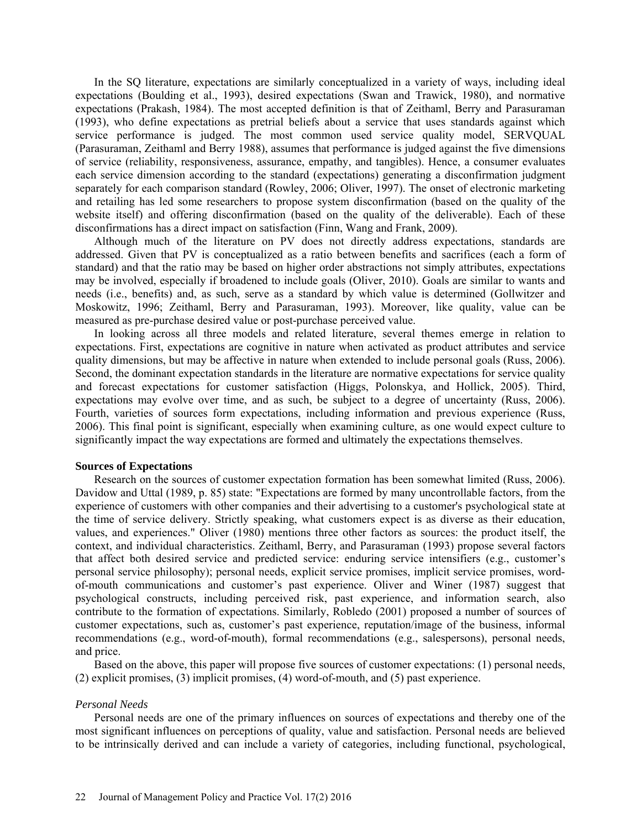In the SQ literature, expectations are similarly conceptualized in a variety of ways, including ideal expectations (Boulding et al., 1993), desired expectations (Swan and Trawick, 1980), and normative expectations (Prakash, 1984). The most accepted definition is that of Zeithaml, Berry and Parasuraman (1993), who define expectations as pretrial beliefs about a service that uses standards against which service performance is judged. The most common used service quality model, SERVQUAL (Parasuraman, Zeithaml and Berry 1988), assumes that performance is judged against the five dimensions of service (reliability, responsiveness, assurance, empathy, and tangibles). Hence, a consumer evaluates each service dimension according to the standard (expectations) generating a disconfirmation judgment separately for each comparison standard (Rowley, 2006; Oliver, 1997). The onset of electronic marketing and retailing has led some researchers to propose system disconfirmation (based on the quality of the website itself) and offering disconfirmation (based on the quality of the deliverable). Each of these disconfirmations has a direct impact on satisfaction (Finn, Wang and Frank, 2009).

Although much of the literature on PV does not directly address expectations, standards are addressed. Given that PV is conceptualized as a ratio between benefits and sacrifices (each a form of standard) and that the ratio may be based on higher order abstractions not simply attributes, expectations may be involved, especially if broadened to include goals (Oliver, 2010). Goals are similar to wants and needs (i.e., benefits) and, as such, serve as a standard by which value is determined (Gollwitzer and Moskowitz, 1996; Zeithaml, Berry and Parasuraman, 1993). Moreover, like quality, value can be measured as pre-purchase desired value or post-purchase perceived value.

In looking across all three models and related literature, several themes emerge in relation to expectations. First, expectations are cognitive in nature when activated as product attributes and service quality dimensions, but may be affective in nature when extended to include personal goals (Russ, 2006). Second, the dominant expectation standards in the literature are normative expectations for service quality and forecast expectations for customer satisfaction (Higgs, Polonskya, and Hollick, 2005). Third, expectations may evolve over time, and as such, be subject to a degree of uncertainty (Russ, 2006). Fourth, varieties of sources form expectations, including information and previous experience (Russ, 2006). This final point is significant, especially when examining culture, as one would expect culture to significantly impact the way expectations are formed and ultimately the expectations themselves.

#### **Sources of Expectations**

Research on the sources of customer expectation formation has been somewhat limited (Russ, 2006). Davidow and Uttal (1989, p. 85) state: "Expectations are formed by many uncontrollable factors, from the experience of customers with other companies and their advertising to a customer's psychological state at the time of service delivery. Strictly speaking, what customers expect is as diverse as their education, values, and experiences." Oliver (1980) mentions three other factors as sources: the product itself, the context, and individual characteristics. Zeithaml, Berry, and Parasuraman (1993) propose several factors that affect both desired service and predicted service: enduring service intensifiers (e.g., customer's personal service philosophy); personal needs, explicit service promises, implicit service promises, wordof-mouth communications and customer's past experience. Oliver and Winer (1987) suggest that psychological constructs, including perceived risk, past experience, and information search, also contribute to the formation of expectations. Similarly, Robledo (2001) proposed a number of sources of customer expectations, such as, customer's past experience, reputation/image of the business, informal recommendations (e.g., word-of-mouth), formal recommendations (e.g., salespersons), personal needs, and price.

Based on the above, this paper will propose five sources of customer expectations: (1) personal needs, (2) explicit promises, (3) implicit promises, (4) word-of-mouth, and (5) past experience.

#### *Personal Needs*

Personal needs are one of the primary influences on sources of expectations and thereby one of the most significant influences on perceptions of quality, value and satisfaction. Personal needs are believed to be intrinsically derived and can include a variety of categories, including functional, psychological,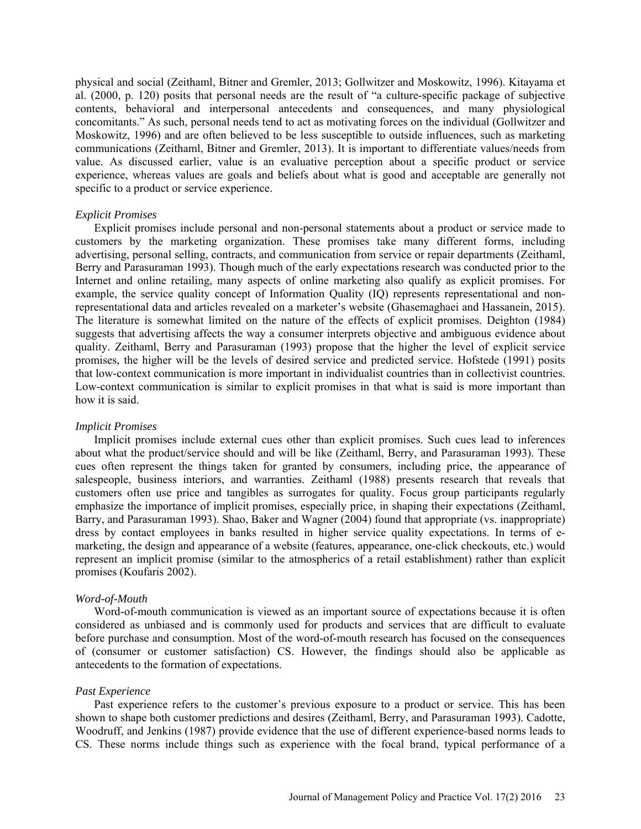physical and social (Zeithaml, Bitner and Gremler, 2013; Gollwitzer and Moskowitz, 1996). Kitayama et al. (2000, p. 120) posits that personal needs are the result of "a culture-specific package of subjective contents, behavioral and interpersonal antecedents and consequences, and many physiological concomitants." As such, personal needs tend to act as motivating forces on the individual (Gollwitzer and Moskowitz, 1996) and are often believed to be less susceptible to outside influences, such as marketing communications (Zeithaml, Bitner and Gremler, 2013). It is important to differentiate values/needs from value. As discussed earlier, value is an evaluative perception about a specific product or service experience, whereas values are goals and beliefs about what is good and acceptable are generally not specific to a product or service experience.

#### *Explicit Promises*

Explicit promises include personal and non-personal statements about a product or service made to customers by the marketing organization. These promises take many different forms, including advertising, personal selling, contracts, and communication from service or repair departments (Zeithaml, Berry and Parasuraman 1993). Though much of the early expectations research was conducted prior to the Internet and online retailing, many aspects of online marketing also qualify as explicit promises. For example, the service quality concept of Information Quality (IQ) represents representational and nonrepresentational data and articles revealed on a marketer's website (Ghasemaghaei and Hassanein, 2015). The literature is somewhat limited on the nature of the effects of explicit promises. Deighton (1984) suggests that advertising affects the way a consumer interprets objective and ambiguous evidence about quality. Zeithaml, Berry and Parasuraman (1993) propose that the higher the level of explicit service promises, the higher will be the levels of desired service and predicted service. Hofstede (1991) posits that low-context communication is more important in individualist countries than in collectivist countries. Low-context communication is similar to explicit promises in that what is said is more important than how it is said.

#### *Implicit Promises*

Implicit promises include external cues other than explicit promises. Such cues lead to inferences about what the product/service should and will be like (Zeithaml, Berry, and Parasuraman 1993). These cues often represent the things taken for granted by consumers, including price, the appearance of salespeople, business interiors, and warranties. Zeithaml (1988) presents research that reveals that customers often use price and tangibles as surrogates for quality. Focus group participants regularly emphasize the importance of implicit promises, especially price, in shaping their expectations (Zeithaml, Barry, and Parasuraman 1993). Shao, Baker and Wagner (2004) found that appropriate (vs. inappropriate) dress by contact employees in banks resulted in higher service quality expectations. In terms of emarketing, the design and appearance of a website (features, appearance, one-click checkouts, etc.) would represent an implicit promise (similar to the atmospherics of a retail establishment) rather than explicit promises (Koufaris 2002).

# *Word-of-Mouth*

Word-of-mouth communication is viewed as an important source of expectations because it is often considered as unbiased and is commonly used for products and services that are difficult to evaluate before purchase and consumption. Most of the word-of-mouth research has focused on the consequences of (consumer or customer satisfaction) CS. However, the findings should also be applicable as antecedents to the formation of expectations.

#### *Past Experience*

Past experience refers to the customer's previous exposure to a product or service. This has been shown to shape both customer predictions and desires (Zeithaml, Berry, and Parasuraman 1993). Cadotte, Woodruff, and Jenkins (1987) provide evidence that the use of different experience-based norms leads to CS. These norms include things such as experience with the focal brand, typical performance of a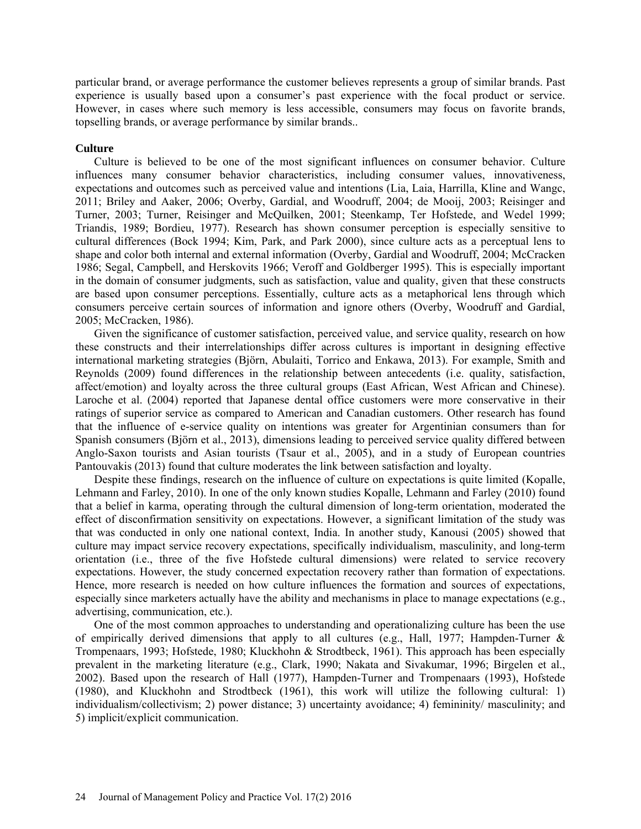particular brand, or average performance the customer believes represents a group of similar brands. Past experience is usually based upon a consumer's past experience with the focal product or service. However, in cases where such memory is less accessible, consumers may focus on favorite brands, topselling brands, or average performance by similar brands..

### **Culture**

Culture is believed to be one of the most significant influences on consumer behavior. Culture influences many consumer behavior characteristics, including consumer values, innovativeness, expectations and outcomes such as perceived value and intentions (Lia, Laia, Harrilla, Kline and Wangc, 2011; Briley and Aaker, 2006; Overby, Gardial, and Woodruff, 2004; de Mooij, 2003; Reisinger and Turner, 2003; Turner, Reisinger and McQuilken, 2001; Steenkamp, Ter Hofstede, and Wedel 1999; Triandis, 1989; Bordieu, 1977). Research has shown consumer perception is especially sensitive to cultural differences (Bock 1994; Kim, Park, and Park 2000), since culture acts as a perceptual lens to shape and color both internal and external information (Overby, Gardial and Woodruff, 2004; McCracken 1986; Segal, Campbell, and Herskovits 1966; Veroff and Goldberger 1995). This is especially important in the domain of consumer judgments, such as satisfaction, value and quality, given that these constructs are based upon consumer perceptions. Essentially, culture acts as a metaphorical lens through which consumers perceive certain sources of information and ignore others (Overby, Woodruff and Gardial, 2005; McCracken, 1986).

Given the significance of customer satisfaction, perceived value, and service quality, research on how these constructs and their interrelationships differ across cultures is important in designing effective international marketing strategies (Björn, Abulaiti, Torrico and Enkawa, 2013). For example, Smith and Reynolds (2009) found differences in the relationship between antecedents (i.e. quality, satisfaction, affect/emotion) and loyalty across the three cultural groups (East African, West African and Chinese). Laroche et al. (2004) reported that Japanese dental office customers were more conservative in their ratings of superior service as compared to American and Canadian customers. Other research has found that the influence of e-service quality on intentions was greater for Argentinian consumers than for Spanish consumers (Björn et al., 2013), dimensions leading to perceived service quality differed between Anglo-Saxon tourists and Asian tourists (Tsaur et al., 2005), and in a study of European countries Pantouvakis (2013) found that culture moderates the link between satisfaction and loyalty.

Despite these findings, research on the influence of culture on expectations is quite limited (Kopalle, Lehmann and Farley, 2010). In one of the only known studies Kopalle, Lehmann and Farley (2010) found that a belief in karma, operating through the cultural dimension of long-term orientation, moderated the effect of disconfirmation sensitivity on expectations. However, a significant limitation of the study was that was conducted in only one national context, India. In another study, Kanousi (2005) showed that culture may impact service recovery expectations, specifically individualism, masculinity, and long-term orientation (i.e., three of the five Hofstede cultural dimensions) were related to service recovery expectations. However, the study concerned expectation recovery rather than formation of expectations. Hence, more research is needed on how culture influences the formation and sources of expectations, especially since marketers actually have the ability and mechanisms in place to manage expectations (e.g., advertising, communication, etc.).

One of the most common approaches to understanding and operationalizing culture has been the use of empirically derived dimensions that apply to all cultures (e.g., Hall, 1977; Hampden-Turner  $\&$ Trompenaars, 1993; Hofstede, 1980; Kluckhohn & Strodtbeck, 1961). This approach has been especially prevalent in the marketing literature (e.g., Clark, 1990; Nakata and Sivakumar, 1996; Birgelen et al., 2002). Based upon the research of Hall (1977), Hampden-Turner and Trompenaars (1993), Hofstede (1980), and Kluckhohn and Strodtbeck (1961), this work will utilize the following cultural: 1) individualism/collectivism; 2) power distance; 3) uncertainty avoidance; 4) femininity/ masculinity; and 5) implicit/explicit communication.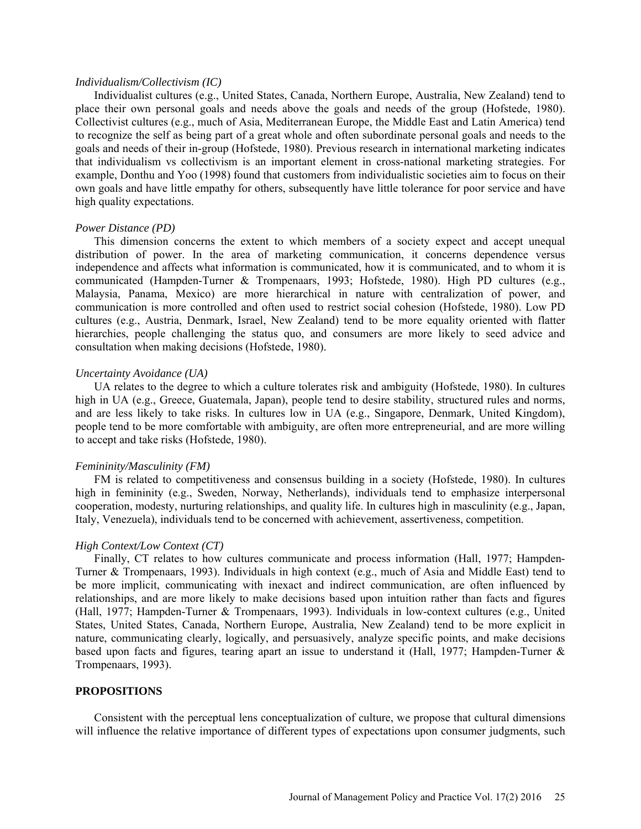#### *Individualism/Collectivism (IC)*

Individualist cultures (e.g., United States, Canada, Northern Europe, Australia, New Zealand) tend to place their own personal goals and needs above the goals and needs of the group (Hofstede, 1980). Collectivist cultures (e.g., much of Asia, Mediterranean Europe, the Middle East and Latin America) tend to recognize the self as being part of a great whole and often subordinate personal goals and needs to the goals and needs of their in-group (Hofstede, 1980). Previous research in international marketing indicates that individualism vs collectivism is an important element in cross-national marketing strategies. For example, Donthu and Yoo (1998) found that customers from individualistic societies aim to focus on their own goals and have little empathy for others, subsequently have little tolerance for poor service and have high quality expectations.

#### *Power Distance (PD)*

This dimension concerns the extent to which members of a society expect and accept unequal distribution of power. In the area of marketing communication, it concerns dependence versus independence and affects what information is communicated, how it is communicated, and to whom it is communicated (Hampden-Turner & Trompenaars, 1993; Hofstede, 1980). High PD cultures (e.g., Malaysia, Panama, Mexico) are more hierarchical in nature with centralization of power, and communication is more controlled and often used to restrict social cohesion (Hofstede, 1980). Low PD cultures (e.g., Austria, Denmark, Israel, New Zealand) tend to be more equality oriented with flatter hierarchies, people challenging the status quo, and consumers are more likely to seed advice and consultation when making decisions (Hofstede, 1980).

# *Uncertainty Avoidance (UA)*

UA relates to the degree to which a culture tolerates risk and ambiguity (Hofstede, 1980). In cultures high in UA (e.g., Greece, Guatemala, Japan), people tend to desire stability, structured rules and norms, and are less likely to take risks. In cultures low in UA (e.g., Singapore, Denmark, United Kingdom), people tend to be more comfortable with ambiguity, are often more entrepreneurial, and are more willing to accept and take risks (Hofstede, 1980).

#### *Femininity/Masculinity (FM)*

FM is related to competitiveness and consensus building in a society (Hofstede, 1980). In cultures high in femininity (e.g., Sweden, Norway, Netherlands), individuals tend to emphasize interpersonal cooperation, modesty, nurturing relationships, and quality life. In cultures high in masculinity (e.g., Japan, Italy, Venezuela), individuals tend to be concerned with achievement, assertiveness, competition.

#### *High Context/Low Context (CT)*

Finally, CT relates to how cultures communicate and process information (Hall, 1977; Hampden-Turner & Trompenaars, 1993). Individuals in high context (e.g., much of Asia and Middle East) tend to be more implicit, communicating with inexact and indirect communication, are often influenced by relationships, and are more likely to make decisions based upon intuition rather than facts and figures (Hall, 1977; Hampden-Turner & Trompenaars, 1993). Individuals in low-context cultures (e.g., United States, United States, Canada, Northern Europe, Australia, New Zealand) tend to be more explicit in nature, communicating clearly, logically, and persuasively, analyze specific points, and make decisions based upon facts and figures, tearing apart an issue to understand it (Hall, 1977; Hampden-Turner & Trompenaars, 1993).

#### **PROPOSITIONS**

Consistent with the perceptual lens conceptualization of culture, we propose that cultural dimensions will influence the relative importance of different types of expectations upon consumer judgments, such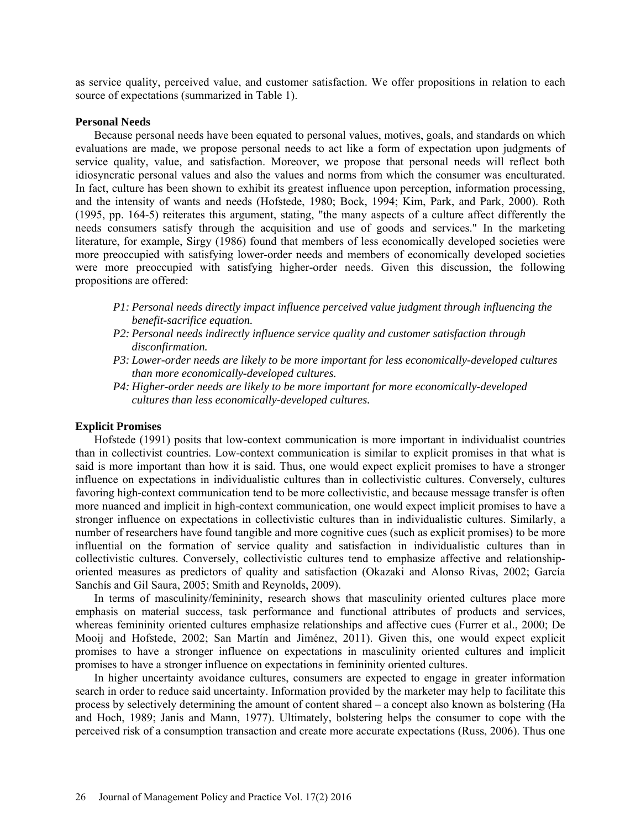as service quality, perceived value, and customer satisfaction. We offer propositions in relation to each source of expectations (summarized in Table 1).

#### **Personal Needs**

Because personal needs have been equated to personal values, motives, goals, and standards on which evaluations are made, we propose personal needs to act like a form of expectation upon judgments of service quality, value, and satisfaction. Moreover, we propose that personal needs will reflect both idiosyncratic personal values and also the values and norms from which the consumer was enculturated. In fact, culture has been shown to exhibit its greatest influence upon perception, information processing, and the intensity of wants and needs (Hofstede, 1980; Bock, 1994; Kim, Park, and Park, 2000). Roth (1995, pp. 164-5) reiterates this argument, stating, "the many aspects of a culture affect differently the needs consumers satisfy through the acquisition and use of goods and services." In the marketing literature, for example, Sirgy (1986) found that members of less economically developed societies were more preoccupied with satisfying lower-order needs and members of economically developed societies were more preoccupied with satisfying higher-order needs. Given this discussion, the following propositions are offered:

- *P1: Personal needs directly impact influence perceived value judgment through influencing the benefit-sacrifice equation.*
- *P2: Personal needs indirectly influence service quality and customer satisfaction through disconfirmation.*
- *P3: Lower-order needs are likely to be more important for less economically-developed cultures than more economically-developed cultures.*
- *P4: Higher-order needs are likely to be more important for more economically-developed cultures than less economically-developed cultures.*

#### **Explicit Promises**

Hofstede (1991) posits that low-context communication is more important in individualist countries than in collectivist countries. Low-context communication is similar to explicit promises in that what is said is more important than how it is said. Thus, one would expect explicit promises to have a stronger influence on expectations in individualistic cultures than in collectivistic cultures. Conversely, cultures favoring high-context communication tend to be more collectivistic, and because message transfer is often more nuanced and implicit in high-context communication, one would expect implicit promises to have a stronger influence on expectations in collectivistic cultures than in individualistic cultures. Similarly, a number of researchers have found tangible and more cognitive cues (such as explicit promises) to be more influential on the formation of service quality and satisfaction in individualistic cultures than in collectivistic cultures. Conversely, collectivistic cultures tend to emphasize affective and relationshiporiented measures as predictors of quality and satisfaction (Okazaki and Alonso Rivas, 2002; García Sanchís and Gil Saura, 2005; Smith and Reynolds, 2009).

In terms of masculinity/femininity, research shows that masculinity oriented cultures place more emphasis on material success, task performance and functional attributes of products and services, whereas femininity oriented cultures emphasize relationships and affective cues (Furrer et al., 2000; De Mooij and Hofstede, 2002; San Martín and Jiménez, 2011). Given this, one would expect explicit promises to have a stronger influence on expectations in masculinity oriented cultures and implicit promises to have a stronger influence on expectations in femininity oriented cultures.

In higher uncertainty avoidance cultures, consumers are expected to engage in greater information search in order to reduce said uncertainty. Information provided by the marketer may help to facilitate this process by selectively determining the amount of content shared – a concept also known as bolstering (Ha and Hoch, 1989; Janis and Mann, 1977). Ultimately, bolstering helps the consumer to cope with the perceived risk of a consumption transaction and create more accurate expectations (Russ, 2006). Thus one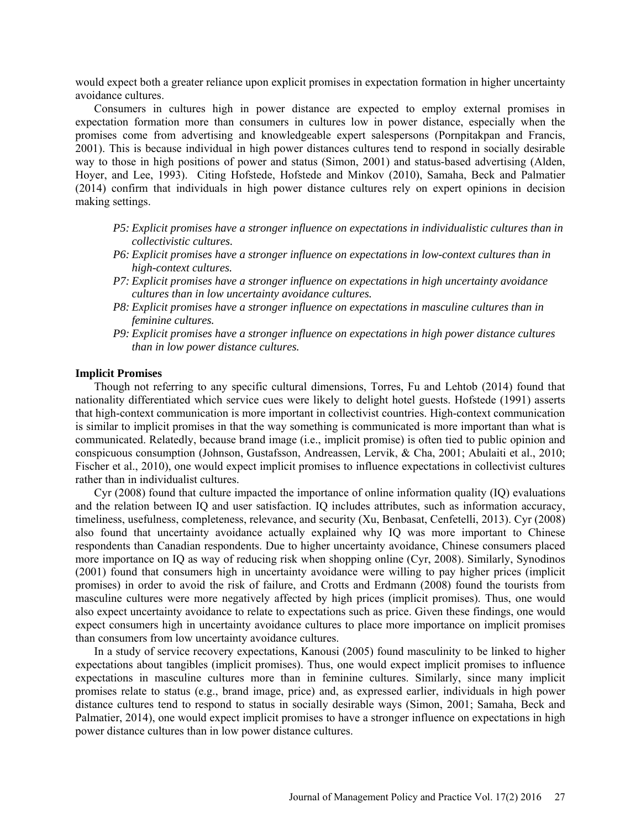would expect both a greater reliance upon explicit promises in expectation formation in higher uncertainty avoidance cultures.

Consumers in cultures high in power distance are expected to employ external promises in expectation formation more than consumers in cultures low in power distance, especially when the promises come from advertising and knowledgeable expert salespersons (Pornpitakpan and Francis, 2001). This is because individual in high power distances cultures tend to respond in socially desirable way to those in high positions of power and status (Simon, 2001) and status-based advertising (Alden, Hoyer, and Lee, 1993). Citing Hofstede, Hofstede and Minkov (2010), Samaha, Beck and Palmatier (2014) confirm that individuals in high power distance cultures rely on expert opinions in decision making settings.

- *P5: Explicit promises have a stronger influence on expectations in individualistic cultures than in collectivistic cultures.*
- *P6: Explicit promises have a stronger influence on expectations in low-context cultures than in high-context cultures.*
- *P7: Explicit promises have a stronger influence on expectations in high uncertainty avoidance cultures than in low uncertainty avoidance cultures.*
- *P8: Explicit promises have a stronger influence on expectations in masculine cultures than in feminine cultures.*
- *P9: Explicit promises have a stronger influence on expectations in high power distance cultures than in low power distance cultures.*

# **Implicit Promises**

Though not referring to any specific cultural dimensions, Torres, Fu and Lehtob (2014) found that nationality differentiated which service cues were likely to delight hotel guests. Hofstede (1991) asserts that high-context communication is more important in collectivist countries. High-context communication is similar to implicit promises in that the way something is communicated is more important than what is communicated. Relatedly, because brand image (i.e., implicit promise) is often tied to public opinion and conspicuous consumption (Johnson, Gustafsson, Andreassen, Lervik, & Cha, 2001; Abulaiti et al., 2010; Fischer et al., 2010), one would expect implicit promises to influence expectations in collectivist cultures rather than in individualist cultures.

Cyr (2008) found that culture impacted the importance of online information quality (IQ) evaluations and the relation between IQ and user satisfaction. IQ includes attributes, such as information accuracy, timeliness, usefulness, completeness, relevance, and security (Xu, Benbasat, Cenfetelli, 2013). Cyr (2008) also found that uncertainty avoidance actually explained why IQ was more important to Chinese respondents than Canadian respondents. Due to higher uncertainty avoidance, Chinese consumers placed more importance on IQ as way of reducing risk when shopping online (Cyr, 2008). Similarly, Synodinos (2001) found that consumers high in uncertainty avoidance were willing to pay higher prices (implicit promises) in order to avoid the risk of failure, and Crotts and Erdmann (2008) found the tourists from masculine cultures were more negatively affected by high prices (implicit promises). Thus, one would also expect uncertainty avoidance to relate to expectations such as price. Given these findings, one would expect consumers high in uncertainty avoidance cultures to place more importance on implicit promises than consumers from low uncertainty avoidance cultures.

In a study of service recovery expectations, Kanousi (2005) found masculinity to be linked to higher expectations about tangibles (implicit promises). Thus, one would expect implicit promises to influence expectations in masculine cultures more than in feminine cultures. Similarly, since many implicit promises relate to status (e.g., brand image, price) and, as expressed earlier, individuals in high power distance cultures tend to respond to status in socially desirable ways (Simon, 2001; Samaha, Beck and Palmatier, 2014), one would expect implicit promises to have a stronger influence on expectations in high power distance cultures than in low power distance cultures.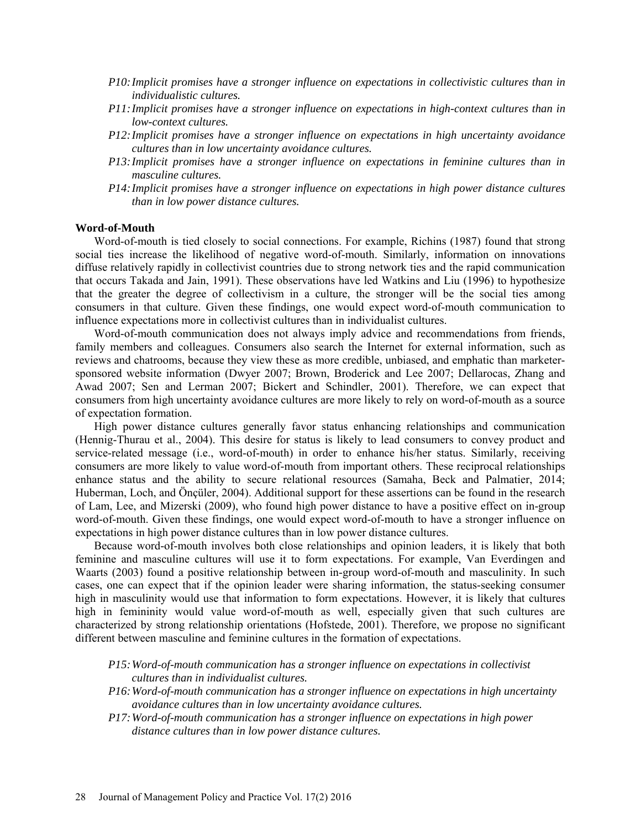- *P10:Implicit promises have a stronger influence on expectations in collectivistic cultures than in individualistic cultures.*
- *P11:Implicit promises have a stronger influence on expectations in high-context cultures than in low-context cultures.*
- *P12:Implicit promises have a stronger influence on expectations in high uncertainty avoidance cultures than in low uncertainty avoidance cultures.*
- *P13:Implicit promises have a stronger influence on expectations in feminine cultures than in masculine cultures.*
- *P14:Implicit promises have a stronger influence on expectations in high power distance cultures than in low power distance cultures.*

#### **Word-of-Mouth**

Word-of-mouth is tied closely to social connections. For example, Richins (1987) found that strong social ties increase the likelihood of negative word-of-mouth. Similarly, information on innovations diffuse relatively rapidly in collectivist countries due to strong network ties and the rapid communication that occurs Takada and Jain, 1991). These observations have led Watkins and Liu (1996) to hypothesize that the greater the degree of collectivism in a culture, the stronger will be the social ties among consumers in that culture. Given these findings, one would expect word-of-mouth communication to influence expectations more in collectivist cultures than in individualist cultures.

Word-of-mouth communication does not always imply advice and recommendations from friends, family members and colleagues. Consumers also search the Internet for external information, such as reviews and chatrooms, because they view these as more credible, unbiased, and emphatic than marketersponsored website information (Dwyer 2007; Brown, Broderick and Lee 2007; Dellarocas, Zhang and Awad 2007; Sen and Lerman 2007; Bickert and Schindler, 2001). Therefore, we can expect that consumers from high uncertainty avoidance cultures are more likely to rely on word-of-mouth as a source of expectation formation.

High power distance cultures generally favor status enhancing relationships and communication (Hennig-Thurau et al., 2004). This desire for status is likely to lead consumers to convey product and service-related message (i.e., word-of-mouth) in order to enhance his/her status. Similarly, receiving consumers are more likely to value word-of-mouth from important others. These reciprocal relationships enhance status and the ability to secure relational resources (Samaha, Beck and Palmatier, 2014; Huberman, Loch, and Önçüler, 2004). Additional support for these assertions can be found in the research of Lam, Lee, and Mizerski (2009), who found high power distance to have a positive effect on in-group word-of-mouth. Given these findings, one would expect word-of-mouth to have a stronger influence on expectations in high power distance cultures than in low power distance cultures.

Because word-of-mouth involves both close relationships and opinion leaders, it is likely that both feminine and masculine cultures will use it to form expectations. For example, Van Everdingen and Waarts (2003) found a positive relationship between in-group word-of-mouth and masculinity. In such cases, one can expect that if the opinion leader were sharing information, the status-seeking consumer high in masculinity would use that information to form expectations. However, it is likely that cultures high in femininity would value word-of-mouth as well, especially given that such cultures are characterized by strong relationship orientations (Hofstede, 2001). Therefore, we propose no significant different between masculine and feminine cultures in the formation of expectations.

- *P15:Word-of-mouth communication has a stronger influence on expectations in collectivist cultures than in individualist cultures.*
- *P16:Word-of-mouth communication has a stronger influence on expectations in high uncertainty avoidance cultures than in low uncertainty avoidance cultures.*
- *P17:Word-of-mouth communication has a stronger influence on expectations in high power distance cultures than in low power distance cultures.*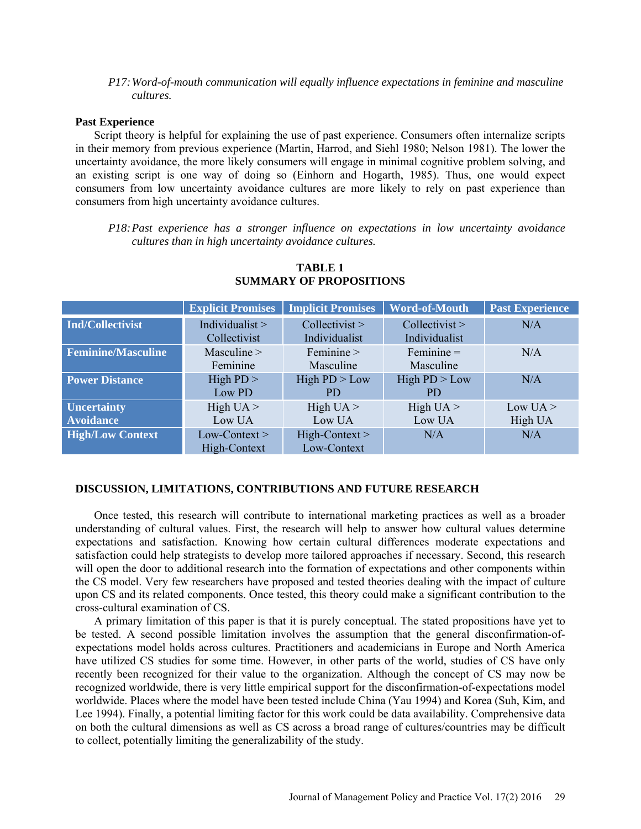# *P17:Word-of-mouth communication will equally influence expectations in feminine and masculine cultures.*

#### **Past Experience**

Script theory is helpful for explaining the use of past experience. Consumers often internalize scripts in their memory from previous experience (Martin, Harrod, and Siehl 1980; Nelson 1981). The lower the uncertainty avoidance, the more likely consumers will engage in minimal cognitive problem solving, and an existing script is one way of doing so (Einhorn and Hogarth, 1985). Thus, one would expect consumers from low uncertainty avoidance cultures are more likely to rely on past experience than consumers from high uncertainty avoidance cultures.

*P18:Past experience has a stronger influence on expectations in low uncertainty avoidance cultures than in high uncertainty avoidance cultures.*

|                           | <b>Explicit Promises</b> | <b>Implicit Promises</b> | <b>Word-of-Mouth</b> | <b>Past Experience</b> |
|---------------------------|--------------------------|--------------------------|----------------------|------------------------|
| <b>Ind/Collectivist</b>   | Individualist $>$        | Collectivist             | Collectivist         | N/A                    |
|                           | Collectivist             | Individualist            | Individualist        |                        |
| <b>Feminine/Masculine</b> | Masculine >              | Feminine >               | $Feminine =$         | N/A                    |
|                           | Feminine                 | Masculine                | Masculine            |                        |
| <b>Power Distance</b>     | High $PD$ >              | High $PD > Low$          | High $PD > Low$      | N/A                    |
|                           | Low PD                   | PD.                      | PD.                  |                        |
| <b>Uncertainty</b>        | High $UA >$              | High $UA >$              | High $UA >$          | Low $UA >$             |
| <b>Avoidance</b>          | Low UA                   | Low UA                   | Low UA               | High UA                |
| <b>High/Low Context</b>   | $Low-Context>$           | $High-Context>$          | N/A                  | N/A                    |
|                           | High-Context             | Low-Context              |                      |                        |

# **TABLE 1 SUMMARY OF PROPOSITIONS**

# **DISCUSSION, LIMITATIONS, CONTRIBUTIONS AND FUTURE RESEARCH**

Once tested, this research will contribute to international marketing practices as well as a broader understanding of cultural values. First, the research will help to answer how cultural values determine expectations and satisfaction. Knowing how certain cultural differences moderate expectations and satisfaction could help strategists to develop more tailored approaches if necessary. Second, this research will open the door to additional research into the formation of expectations and other components within the CS model. Very few researchers have proposed and tested theories dealing with the impact of culture upon CS and its related components. Once tested, this theory could make a significant contribution to the cross-cultural examination of CS.

A primary limitation of this paper is that it is purely conceptual. The stated propositions have yet to be tested. A second possible limitation involves the assumption that the general disconfirmation-ofexpectations model holds across cultures. Practitioners and academicians in Europe and North America have utilized CS studies for some time. However, in other parts of the world, studies of CS have only recently been recognized for their value to the organization. Although the concept of CS may now be recognized worldwide, there is very little empirical support for the disconfirmation-of-expectations model worldwide. Places where the model have been tested include China (Yau 1994) and Korea (Suh, Kim, and Lee 1994). Finally, a potential limiting factor for this work could be data availability. Comprehensive data on both the cultural dimensions as well as CS across a broad range of cultures/countries may be difficult to collect, potentially limiting the generalizability of the study.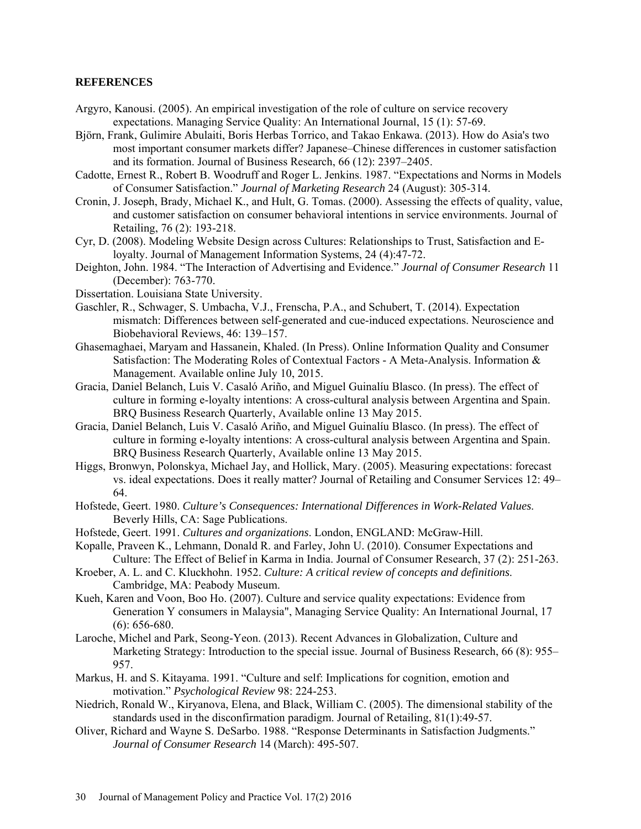# **REFERENCES**

- [Argyro, Kanousi.](http://www.emeraldinsight.com/action/doSearch?ContribStored=Kanousi%2C+A) (2005). An empirical investigation of the role of culture on service recovery expectations. Managing Service Quality: An International Journal, 15 (1): 57-69.
- Björn, Frank, Gulimire Abulaiti, Boris Herbas Torrico, and Takao Enkawa. (2013). How do Asia's two most important consumer markets differ? Japanese–Chinese differences in customer satisfaction and its formation. Journal of Business Research, 66 (12): 2397–2405.
- Cadotte, Ernest R., Robert B. Woodruff and Roger L. Jenkins. 1987. "Expectations and Norms in Models of Consumer Satisfaction." *Journal of Marketing Research* 24 (August): 305-314.
- Cronin, J. Joseph, Brady, Michael K., and Hult, G. Tomas. (2000). Assessing the effects of quality, value, and customer satisfaction on consumer behavioral intentions in service environments. Journal of Retailing, 76 (2): 193-218.
- Cyr, D. (2008). Modeling Website Design across Cultures: Relationships to Trust, Satisfaction and Eloyalty. Journal of Management Information Systems, 24 (4):47-72.
- Deighton, John. 1984. "The Interaction of Advertising and Evidence." *Journal of Consumer Research* 11 (December): 763-770.
- Dissertation. Louisiana State University.
- Gaschler, R., Schwager, S. Umbacha, V.J., Frenscha, P.A., and Schubert, T. (2014). Expectation mismatch: Differences between self-generated and cue-induced expectations. Neuroscience and Biobehavioral Reviews, 46: 139–157.
- Ghasemaghaei, Maryam and Hassanein, Khaled. (In Press). Online Information Quality and Consumer Satisfaction: The Moderating Roles of Contextual Factors - A Meta-Analysis. Information & Management. Available online July 10, 2015.
- Gracia, Daniel Belanch, Luis V. Casaló Ariño, and Miguel Guinalíu Blasco. (In press). The effect of culture in forming e-loyalty intentions: A cross-cultural analysis between Argentina and Spain. BRQ Business Research Quarterly, Available online 13 May 2015.
- Gracia, Daniel Belanch, Luis V. Casaló Ariño, and Miguel Guinalíu Blasco. (In press). The effect of culture in forming e-loyalty intentions: A cross-cultural analysis between Argentina and Spain. BRQ Business Research Quarterly, Available online 13 May 2015.
- Higgs, Bronwyn, Polonskya, Michael Jay, and Hollick, Mary. (2005). Measuring expectations: forecast vs. ideal expectations. Does it really matter? Journal of Retailing and Consumer Services 12: 49– 64.
- Hofstede, Geert. 1980. *Culture's Consequences: International Differences in Work-Related Values*. Beverly Hills, CA: Sage Publications.
- Hofstede, Geert. 1991. *Cultures and organizations*. London, ENGLAND: McGraw-Hill.
- Kopalle, Praveen K., Lehmann, Donald R. and Farley, John U. (2010). Consumer Expectations and Culture: The Effect of Belief in Karma in India. Journal of Consumer Research, 37 (2): 251-263.
- Kroeber, A. L. and C. Kluckhohn. 1952. *Culture: A critical review of concepts and definitions*. Cambridge, MA: Peabody Museum.
- Kueh, [Karen](http://www.emeraldinsight.com/action/doSearch?ContribStored=Kueh%2C+K) and Voon, [Boo Ho.](http://www.emeraldinsight.com/action/doSearch?ContribStored=Ho+Voon%2C+B) (2007). Culture and service quality expectations: Evidence from Generation Y consumers in Malaysia", Managing Service Quality: An International Journal, 17 (6): 656-680.
- Laroche, Michel and Park, Seong-Yeon. (2013). Recent Advances in Globalization, Culture and Marketing Strategy: Introduction to the special issue. Journal of Business Research, 66 (8): 955– 957.
- Markus, H. and S. Kitayama. 1991. "Culture and self: Implications for cognition, emotion and motivation." *Psychological Review* 98: 224-253.
- Niedrich, Ronald W., Kiryanova, Elena, and Black, William C. (2005). The dimensional stability of the standards used in the disconfirmation paradigm. Journal of Retailing, 81(1):49-57.
- Oliver, Richard and Wayne S. DeSarbo. 1988. "Response Determinants in Satisfaction Judgments." *Journal of Consumer Research* 14 (March): 495-507.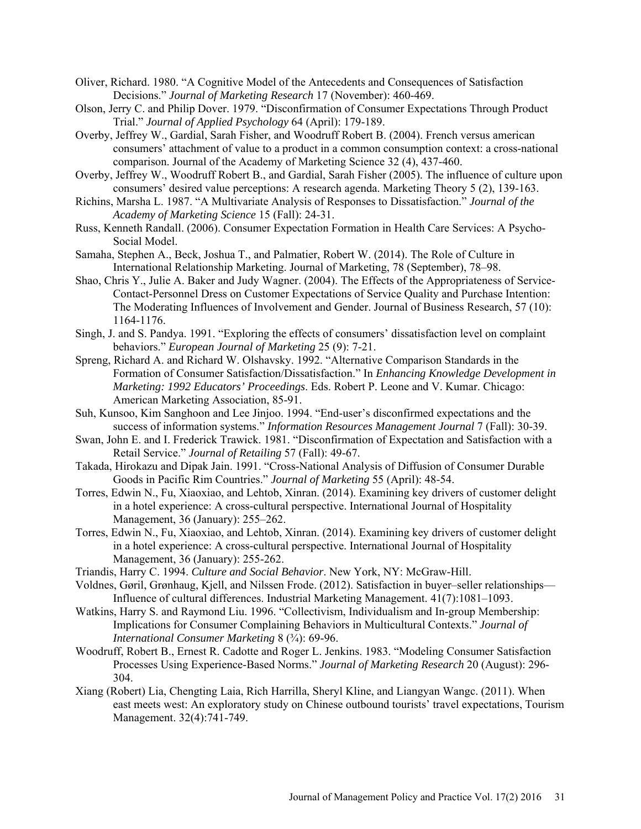- Oliver, Richard. 1980. "A Cognitive Model of the Antecedents and Consequences of Satisfaction Decisions." *Journal of Marketing Research* 17 (November): 460-469.
- Olson, Jerry C. and Philip Dover. 1979. "Disconfirmation of Consumer Expectations Through Product Trial." *Journal of Applied Psychology* 64 (April): 179-189.
- Overby, Jeffrey W., Gardial, Sarah Fisher, and Woodruff Robert B. (2004). French versus american consumers' attachment of value to a product in a common consumption context: a cross-national comparison. Journal of the Academy of Marketing Science 32 (4), 437-460.
- Overby, Jeffrey W., Woodruff Robert B., and Gardial, Sarah Fisher (2005). The influence of culture upon consumers' desired value perceptions: A research agenda. Marketing Theory 5 (2), 139-163.
- Richins, Marsha L. 1987. "A Multivariate Analysis of Responses to Dissatisfaction." *Journal of the Academy of Marketing Science* 15 (Fall): 24-31.
- Russ, Kenneth Randall. (2006). Consumer Expectation Formation in Health Care Services: A Psycho-Social Model.
- Samaha, Stephen A., Beck, Joshua T., and Palmatier, Robert W. (2014). The Role of Culture in International Relationship Marketing. Journal of Marketing, 78 (September), 78–98.
- Shao, Chris Y., Julie A. Baker and Judy Wagner. (2004). The Effects of the Appropriateness of Service-Contact-Personnel Dress on Customer Expectations of Service Quality and Purchase Intention: The Moderating Influences of Involvement and Gender. Journal of Business Research, 57 (10): 1164-1176.
- Singh, J. and S. Pandya. 1991. "Exploring the effects of consumers' dissatisfaction level on complaint behaviors." *European Journal of Marketing* 25 (9): 7-21.
- Spreng, Richard A. and Richard W. Olshavsky. 1992. "Alternative Comparison Standards in the Formation of Consumer Satisfaction/Dissatisfaction." In *Enhancing Knowledge Development in Marketing: 1992 Educators' Proceedings*. Eds. Robert P. Leone and V. Kumar. Chicago: American Marketing Association, 85-91.
- Suh, Kunsoo, Kim Sanghoon and Lee Jinjoo. 1994. "End-user's disconfirmed expectations and the success of information systems." *Information Resources Management Journal* 7 (Fall): 30-39.
- Swan, John E. and I. Frederick Trawick. 1981. "Disconfirmation of Expectation and Satisfaction with a Retail Service." *Journal of Retailing* 57 (Fall): 49-67.
- Takada, Hirokazu and Dipak Jain. 1991. "Cross-National Analysis of Diffusion of Consumer Durable Goods in Pacific Rim Countries." *Journal of Marketing* 55 (April): 48-54.
- Torres, Edwin N., Fu, Xiaoxiao, and Lehtob, Xinran. (2014). Examining key drivers of customer delight in a hotel experience: A cross-cultural perspective. International Journal of Hospitality Management, 36 (January): 255–262.
- Torres, Edwin N., Fu, Xiaoxiao, and Lehtob, Xinran. (2014). Examining key drivers of customer delight in a hotel experience: A cross-cultural perspective. International Journal of Hospitality Management, 36 (January): 255-262.
- Triandis, Harry C. 1994. *Culture and Social Behavior*. New York, NY: McGraw-Hill.
- Voldnes, Gøril, Grønhaug, Kjell, and Nilssen Frode. (2012). Satisfaction in buyer–seller relationships— Influence of cultural differences. Industrial Marketing Management. 41(7):1081–1093.
- Watkins, Harry S. and Raymond Liu. 1996. "Collectivism, Individualism and In-group Membership: Implications for Consumer Complaining Behaviors in Multicultural Contexts." *Journal of International Consumer Marketing* 8 (¾): 69-96.
- Woodruff, Robert B., Ernest R. Cadotte and Roger L. Jenkins. 1983. "Modeling Consumer Satisfaction Processes Using Experience-Based Norms." *Journal of Marketing Research* 20 (August): 296- 304.
- Xiang (Robert) Lia, Chengting Laia, Rich Harrilla, Sheryl Kline, and Liangyan Wangc. (2011). When east meets west: An exploratory study on Chinese outbound tourists' travel expectations, Tourism Management. 32(4):741-749.